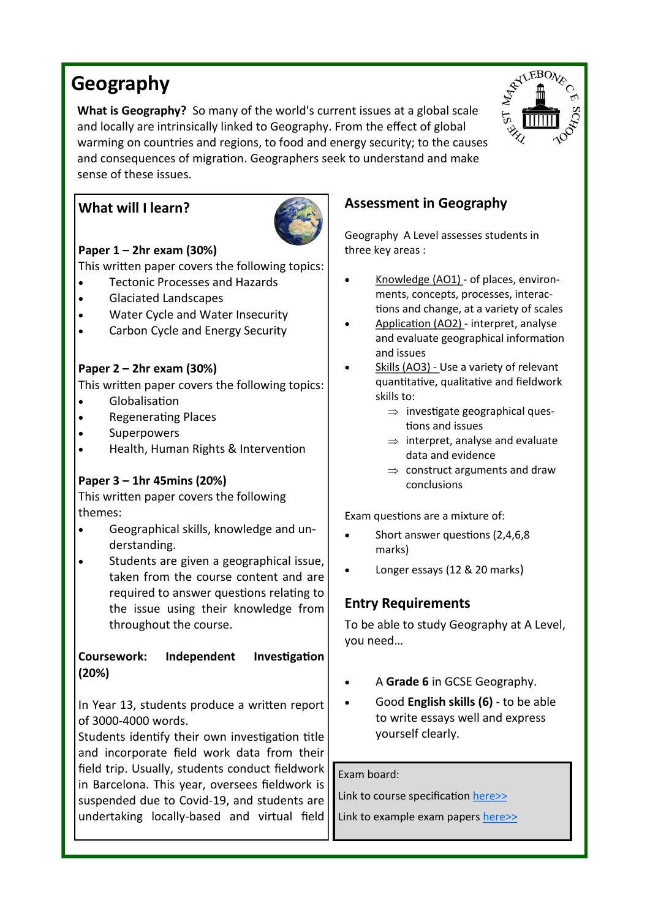# **Geography**

**What is Geography?** So many of the world's current issues at a global scale and locally are intrinsically linked to Geography. From the effect of global warming on countries and regions, to food and energy security; to the causes and consequences of migration. Geographers seek to understand and make sense of these issues.

## **What will I learn?**



## **Paper 1 – 2hr exam (30%)**

This written paper covers the following topics:

- Tectonic Processes and Hazards
- Glaciated Landscapes
- Water Cycle and Water Insecurity
- Carbon Cycle and Energy Security

### **Paper 2 – 2hr exam (30%)**

This written paper covers the following topics:

- Globalisation
- Regenerating Places
- **Superpowers**
- Health, Human Rights & Intervention

## **Paper 3 – 1hr 45mins (20%)**

This written paper covers the following themes:

- Geographical skills, knowledge and understanding.
- Students are given a geographical issue, taken from the course content and are required to answer questions relating to the issue using their knowledge from throughout the course.

#### **Coursework: Independent Investigation (20%)**

In Year 13, students produce a written report of 3000-4000 words.

Students identify their own investigation title and incorporate field work data from their field trip. Usually, students conduct fieldwork in Barcelona. This year, oversees fieldwork is suspended due to Covid-19, and students are undertaking locally-based and virtual field

# **Assessment in Geography**

Geography A Level assesses students in three key areas :

- Knowledge (AO1) of places, environments, concepts, processes, interactions and change, at a variety of scales
- Application (AO2) interpret, analyse and evaluate geographical information and issues
- Skills (AO3) Use a variety of relevant quantitative, qualitative and fieldwork skills to:
	- $\Rightarrow$  investigate geographical questions and issues
	- $\Rightarrow$  interpret, analyse and evaluate data and evidence
	- $\Rightarrow$  construct arguments and draw conclusions

Exam questions are a mixture of:

- Short answer questions (2,4,6,8 marks)
- Longer essays (12 & 20 marks)

## **Entry Requirements**

To be able to study Geography at A Level, you need…

- A **Grade 6** in GCSE Geography.
- Good **English skills (6)**  to be able to write essays well and express yourself clearly.

Exam board:

Link to course specification [here>>](https://qualifications.pearson.com/content/dam/pdf/A%20Level/Geography/2016/specification-and-sample-assessments/Pearson-Edexcel-GCE-A-level-Geography-specification-issue-5-FINAL.pdf)

Link to example exam papers [here>>](https://qualifications.pearson.com/en/qualifications/edexcel-a-levels/geography-2016.coursematerials.html#filterQuery=Pearson-UK:Category%2FExam-materials)